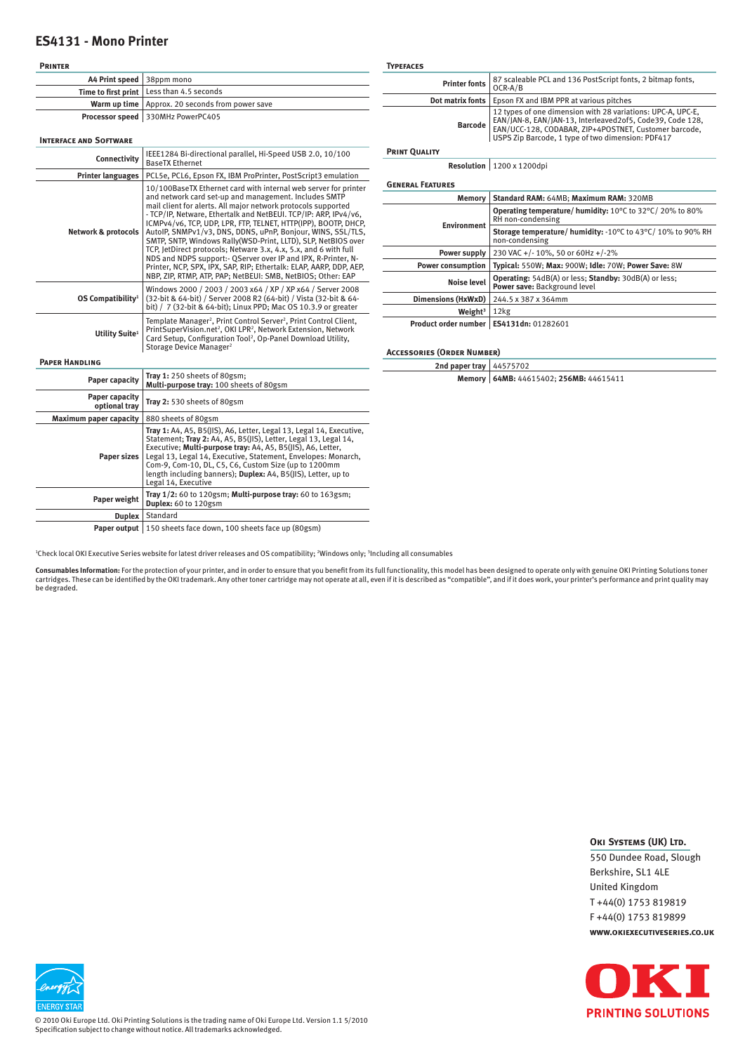## **ES4131 - Mono Printer**

| <b>PRINTER</b>                  |                                                                                                                                                                                                                                                                                                                                                                                                                                                                                                                                                                                                                                                                             | <b>TYPEFACES</b>                  |                                                                                                                                                                                                                                        |
|---------------------------------|-----------------------------------------------------------------------------------------------------------------------------------------------------------------------------------------------------------------------------------------------------------------------------------------------------------------------------------------------------------------------------------------------------------------------------------------------------------------------------------------------------------------------------------------------------------------------------------------------------------------------------------------------------------------------------|-----------------------------------|----------------------------------------------------------------------------------------------------------------------------------------------------------------------------------------------------------------------------------------|
| A4 Print speed                  | 38ppm mono                                                                                                                                                                                                                                                                                                                                                                                                                                                                                                                                                                                                                                                                  | <b>Printer fonts</b>              | 87 scaleable PCL and 136 PostScript fonts, 2 bitmap fonts,                                                                                                                                                                             |
| Time to first print             | Less than 4.5 seconds                                                                                                                                                                                                                                                                                                                                                                                                                                                                                                                                                                                                                                                       |                                   | OCR-A/B                                                                                                                                                                                                                                |
|                                 | Warm up time   Approx. 20 seconds from power save                                                                                                                                                                                                                                                                                                                                                                                                                                                                                                                                                                                                                           | Dot matrix fonts                  | Epson FX and IBM PPR at various pitches                                                                                                                                                                                                |
| <b>INTERFACE AND SOFTWARE</b>   | Processor speed   330MHz PowerPC405                                                                                                                                                                                                                                                                                                                                                                                                                                                                                                                                                                                                                                         | <b>Barcode</b>                    | 12 types of one dimension with 28 variations: UPC-A, UPC-E,<br>EAN/JAN-8, EAN/JAN-13, Interleaved2of5, Code39, Code 128,<br>EAN/UCC-128, CODABAR, ZIP+4POSTNET, Customer barcode,<br>USPS Zip Barcode, 1 type of two dimension: PDF417 |
|                                 |                                                                                                                                                                                                                                                                                                                                                                                                                                                                                                                                                                                                                                                                             | <b>PRINT QUALITY</b>              |                                                                                                                                                                                                                                        |
| Connectivity                    | IEEE1284 Bi-directional parallel, Hi-Speed USB 2.0, 10/100<br><b>BaseTX Ethernet</b>                                                                                                                                                                                                                                                                                                                                                                                                                                                                                                                                                                                        |                                   | Resolution 1200 x 1200dpi                                                                                                                                                                                                              |
| <b>Printer languages</b>        | PCL5e, PCL6, Epson FX, IBM ProPrinter, PostScript3 emulation                                                                                                                                                                                                                                                                                                                                                                                                                                                                                                                                                                                                                |                                   |                                                                                                                                                                                                                                        |
| <b>Network &amp; protocols</b>  | 10/100BaseTX Ethernet card with internal web server for printer<br>and network card set-up and management. Includes SMTP<br>mail client for alerts. All major network protocols supported<br>- TCP/IP, Netware, Ethertalk and NetBEUI, TCP/IP: ARP, IPv4/v6,<br>ICMPv4/v6, TCP, UDP, LPR, FTP, TELNET, HTTP(IPP), BOOTP, DHCP,<br>AutoIP, SNMPv1/v3, DNS, DDNS, uPnP, Bonjour, WINS, SSL/TLS,<br>SMTP, SNTP, Windows Rally (WSD-Print, LLTD), SLP, NetBIOS over<br>TCP, JetDirect protocols; Netware 3.x, 4.x, 5.x, and 6 with full<br>NDS and NDPS support: - QServer over IP and IPX, R-Printer, N-<br>Printer, NCP, SPX, IPX, SAP, RIP; Ethertalk: ELAP, AARP, DDP, AEP, | <b>GENERAL FEATURES</b>           |                                                                                                                                                                                                                                        |
|                                 |                                                                                                                                                                                                                                                                                                                                                                                                                                                                                                                                                                                                                                                                             | <b>Memory</b>                     | Standard RAM: 64MB: Maximum RAM: 320MB                                                                                                                                                                                                 |
|                                 |                                                                                                                                                                                                                                                                                                                                                                                                                                                                                                                                                                                                                                                                             | <b>Environment</b>                | Operating temperature/ humidity: 10°C to 32°C/20% to 80%<br>RH non-condensing                                                                                                                                                          |
|                                 |                                                                                                                                                                                                                                                                                                                                                                                                                                                                                                                                                                                                                                                                             |                                   | Storage temperature/ humidity: -10°C to 43°C/10% to 90% RH<br>non-condensing                                                                                                                                                           |
|                                 |                                                                                                                                                                                                                                                                                                                                                                                                                                                                                                                                                                                                                                                                             | Power supply                      | 230 VAC +/-10%, 50 or 60Hz +/-2%                                                                                                                                                                                                       |
|                                 |                                                                                                                                                                                                                                                                                                                                                                                                                                                                                                                                                                                                                                                                             | <b>Power consumption</b>          | Typical: 550W; Max: 900W; Idle: 70W; Power Save: 8W                                                                                                                                                                                    |
| OS Compatibility <sup>1</sup>   | NBP, ZIP, RTMP, ATP, PAP; NetBEUI: SMB, NetBIOS; Other: EAP<br>Windows 2000 / 2003 / 2003 x64 / XP / XP x64 / Server 2008<br>(32-bit & 64-bit) / Server 2008 R2 (64-bit) / Vista (32-bit & 64-<br>bit) / 7 (32-bit & 64-bit); Linux PPD; Mac OS 10.3.9 or greater                                                                                                                                                                                                                                                                                                                                                                                                           | <b>Noise level</b>                | Operating: 54dB(A) or less; Standby: 30dB(A) or less;<br>Power save: Background level                                                                                                                                                  |
|                                 |                                                                                                                                                                                                                                                                                                                                                                                                                                                                                                                                                                                                                                                                             | Dimensions (HxWxD)                | 244.5 x 387 x 364mm                                                                                                                                                                                                                    |
|                                 |                                                                                                                                                                                                                                                                                                                                                                                                                                                                                                                                                                                                                                                                             | Weight $3$                        | 12kg                                                                                                                                                                                                                                   |
| Utility Suite <sup>1</sup>      | Template Manager <sup>2</sup> , Print Control Server <sup>2</sup> , Print Control Client,<br>PrintSuperVision.net <sup>2</sup> , OKI LPR <sup>2</sup> , Network Extension, Network<br>Card Setup, Configuration Tool <sup>2</sup> , Op-Panel Download Utility,<br>Storage Device Manager <sup>2</sup>                                                                                                                                                                                                                                                                                                                                                                       | <b>ACCESSORIES (ORDER NUMBER)</b> | Product order number   ES4131dn: 01282601                                                                                                                                                                                              |
| <b>PAPER HANDLING</b>           |                                                                                                                                                                                                                                                                                                                                                                                                                                                                                                                                                                                                                                                                             | 2nd paper tray   44575702         |                                                                                                                                                                                                                                        |
| <b>Paper capacity</b>           | Tray 1: 250 sheets of 80gsm;<br>Multi-purpose tray: 100 sheets of 80gsm                                                                                                                                                                                                                                                                                                                                                                                                                                                                                                                                                                                                     |                                   | Memory   64MB: 44615402; 256MB: 44615411                                                                                                                                                                                               |
| Paper capacity<br>optional tray | Tray 2: 530 sheets of 80gsm                                                                                                                                                                                                                                                                                                                                                                                                                                                                                                                                                                                                                                                 |                                   |                                                                                                                                                                                                                                        |
| Maximum paper capacity          | 880 sheets of 80gsm                                                                                                                                                                                                                                                                                                                                                                                                                                                                                                                                                                                                                                                         |                                   |                                                                                                                                                                                                                                        |
| Paper sizes                     | Tray 1: A4, A5, B5(JIS), A6, Letter, Legal 13, Legal 14, Executive,<br>Statement; Tray 2: A4, A5, B5(JIS), Letter, Legal 13, Legal 14,<br>Executive; Multi-purpose tray: A4, A5, B5(JIS), A6, Letter,<br>Legal 13, Legal 14, Executive, Statement, Envelopes: Monarch,<br>Com-9, Com-10, DL, C5, C6, Custom Size (up to 1200mm<br>length including banners); Duplex: A4, B5(JIS), Letter, up to<br>Legal 14, Executive                                                                                                                                                                                                                                                      |                                   |                                                                                                                                                                                                                                        |
| Paper weight                    | Tray 1/2: 60 to 120gsm; Multi-purpose tray: 60 to 163gsm;<br>Duplex: 60 to 120gsm                                                                                                                                                                                                                                                                                                                                                                                                                                                                                                                                                                                           |                                   |                                                                                                                                                                                                                                        |
| Duplex                          | Standard                                                                                                                                                                                                                                                                                                                                                                                                                                                                                                                                                                                                                                                                    |                                   |                                                                                                                                                                                                                                        |
|                                 |                                                                                                                                                                                                                                                                                                                                                                                                                                                                                                                                                                                                                                                                             |                                   |                                                                                                                                                                                                                                        |

Paper output | 150 sheets face down, 100 sheets face up (80gsm)

1 Check local OKI Executive Series website for latest driver releases and OS compatibility; 2 Windows only; 3 Including all consumables

**Consumables Information**: For the protection of your printer, and in order to ensure that you benefit from its full functionality, this model has been designed to operate only with genuine OKI Printing Solutions toner<br>car

## **OKI SYSTEMS (UK) LTD.**

550 Dundee Road, Slough Berkshire, SL1 4LE United Kingdom T +44(0) 1753 819819 F +44(0) 1753 819899 **www.okiexecutiveseries.co.uk**